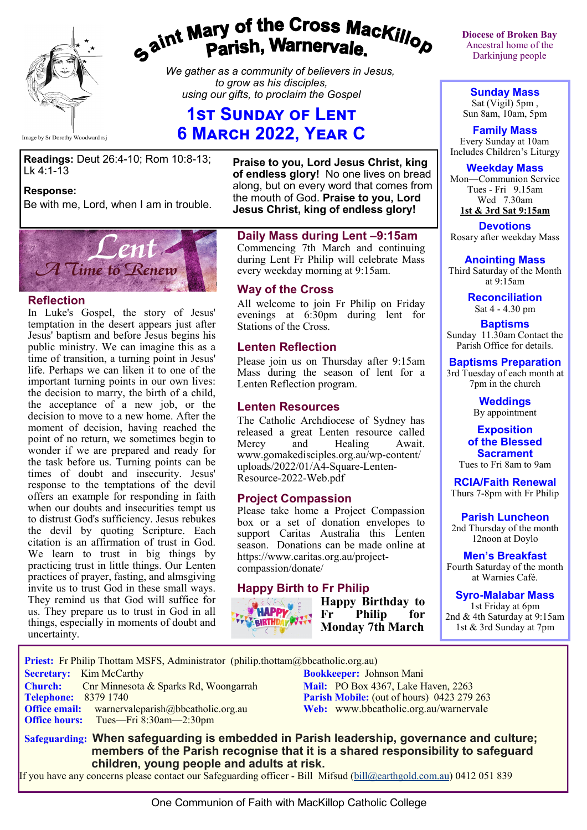

# gaint Mary of the Cross Mackillop<br>ga<sup>int</sup> Parish, Warnervale.

*We gather as a community of believers in Jesus, to grow as his disciples, using our gifts, to proclaim the Gospel*

# **1st Sunday of Lent 6 March 2022, Year C**

Image by Sr Dorothy Woodward rsj

**Readings:** Deut 26:4-10; Rom 10:8-13; Lk 4:1-13

#### **Response:**

Be with me, Lord, when I am in trouble.



#### **Reflection**

In Luke's Gospel, the story of Jesus' temptation in the desert appears just after Jesus' baptism and before Jesus begins his public ministry. We can imagine this as a time of transition, a turning point in Jesus' life. Perhaps we can liken it to one of the important turning points in our own lives: the decision to marry, the birth of a child, the acceptance of a new job, or the decision to move to a new home. After the moment of decision, having reached the point of no return, we sometimes begin to wonder if we are prepared and ready for the task before us. Turning points can be times of doubt and insecurity. Jesus' response to the temptations of the devil offers an example for responding in faith when our doubts and insecurities tempt us to distrust God's sufficiency. Jesus rebukes the devil by quoting Scripture. Each citation is an affirmation of trust in God. We learn to trust in big things by practicing trust in little things. Our Lenten practices of prayer, fasting, and almsgiving invite us to trust God in these small ways. They remind us that God will suffice for us. They prepare us to trust in God in all things, especially in moments of doubt and uncertainty.

**Praise to you, Lord Jesus Christ, king of endless glory!** No one lives on bread along, but on every word that comes from the mouth of God. **Praise to you, Lord Jesus Christ, king of endless glory!**

#### **Daily Mass during Lent –9:15am**

Commencing 7th March and continuing during Lent Fr Philip will celebrate Mass every weekday morning at 9:15am.

#### **Way of the Cross**

All welcome to join Fr Philip on Friday evenings at 6:30pm during lent for Stations of the Cross.

#### **Lenten Reflection**

Please join us on Thursday after 9:15am Mass during the season of lent for a Lenten Reflection program.

#### **Lenten Resources**

The Catholic Archdiocese of Sydney has released a great Lenten resource called Mercy and Healing Await. www.gomakedisciples.org.au/wp-content/ uploads/2022/01/A4-Square-Lenten-Resource-2022-Web.pdf

#### **Project Compassion**

Please take home a Project Compassion box or a set of donation envelopes to support Caritas Australia this Lenten season. Donations can be made online at https://www.caritas.org.au/projectcompassion/donate/

## **Happy Birth to Fr Philip**



**Happy Birthday to Fr Philip for Monday 7th March**

**Diocese of Broken Bay**  Ancestral home of the Darkinjung people

**Sunday Mass** Sat (Vigil) 5pm , Sun 8am, 10am, 5pm

**Family Mass**  Every Sunday at 10am Includes Children's Liturgy

**Weekday Mass** Mon—Communion Service Tues - Fri 9.15am Wed 7.30am **1st & 3rd Sat 9:15am**

**Devotions** Rosary after weekday Mass

**Anointing Mass** Third Saturday of the Month

> at 9:15am **Reconciliation** Sat 4 - 4.30 pm

**Baptisms** Sunday 11.30am Contact the Parish Office for details.

#### **Baptisms Preparation**

3rd Tuesday of each month at 7pm in the church

> **Weddings**  By appointment

**Exposition of the Blessed Sacrament**

Tues to Fri 8am to 9am

**RCIA/Faith Renewal**  Thurs 7-8pm with Fr Philip

**Parish Luncheon** 2nd Thursday of the month 12noon at Doylo

**Men's Breakfast** Fourth Saturday of the month at Warnies Café.

**Syro-Malabar Mass**

1st Friday at 6pm 2nd & 4th Saturday at 9:15am 1st & 3rd Sunday at 7pm

 **Priest:** Fr Philip Thottam MSFS, Administrator (philip.thottam@bbcatholic.org.au) **Secretary:** Kim McCarthy **Bookkeeper:** Johnson Mani **Church:** Cnr Minnesota & Sparks Rd, Woongarrah **Mail: PO Box 4367, Lake Haven, 2263**<br> **Parish Mobile:** (out of hours) 0423 279 **Parish Mobile:** (out of hours) 0423 279 263 **Office email:** warnervaleparish@bbcatholic.org.au **Web:** [www.bbcatholic.org.au/warnervale](https://www.bbcatholic.org.au/warnervale) **Office hours:** Tues—Fri 8:30am—2:30pm

 **Safeguarding: When safeguarding is embedded in Parish leadership, governance and culture; members of the Parish recognise that it is a shared responsibility to safeguard children, young people and adults at risk.**

If you have any concerns please contact our Safeguarding officer - Bill Mifsud ([bill@earthgold.com.au\)](mailto:bill@earthgold.com.au) 0412 051 839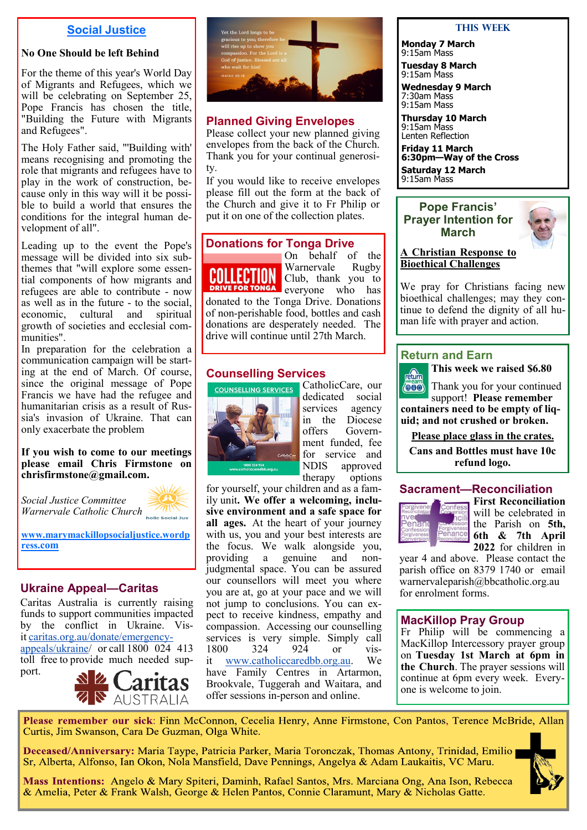#### **Social Justice**

#### **No One Should be left Behind**

For the theme of this year's World Day of Migrants and Refugees, which we will be celebrating on September 25, Pope Francis has chosen the title, "Building the Future with Migrants and Refugees".

The Holy Father said, "'Building with' means recognising and promoting the role that migrants and refugees have to play in the work of construction, because only in this way will it be possible to build a world that ensures the conditions for the integral human development of all".

Leading up to the event the Pope's message will be divided into six subthemes that "will explore some essential components of how migrants and refugees are able to contribute - now as well as in the future - to the social, economic, cultural and spiritual growth of societies and ecclesial communities".

In preparation for the celebration a communication campaign will be starting at the end of March. Of course, since the original message of Pope Francis we have had the refugee and humanitarian crisis as a result of Russia's invasion of Ukraine. That can only exacerbate the problem

#### **If you wish to come to our meetings please email Chris Firmstone on chrisfirmstone@gmail.com.**

*Social Justice Committee Warnervale Catholic Church* 



**[www.marymackillopsocialjustice.wordp](http://www.marymackillopsocialjustice.wordpress.com) ress[.com](http://www.marymackillopsocialjustice.wordpress.com)**

## **Ukraine Appeal—Caritas**

Caritas Australia is currently raising funds to support communities impacted by the conflict in Ukraine. Visit[caritas.org.au/donate/emergency](https://bbcatholic.us8.list-manage.com/track/click?u=466af249e088db70ab864d088&id=e5d2a2dd83&e=e312df0f80)[appeals/ukraine/](https://bbcatholic.us8.list-manage.com/track/click?u=466af249e088db70ab864d088&id=e5d2a2dd83&e=e312df0f80) or call 1800 024 413 toll free to provide much needed support.





## **Planned Giving Envelopes**

Please collect your new planned giving envelopes from the back of the Church. Thank you for your continual generosity.

If you would like to receive envelopes please fill out the form at the back of the Church and give it to Fr Philip or put it on one of the collection plates.

#### **Donations for Tonga Drive**



On behalf of the Warnervale Rugby Warnervale Club, thank you to

**DRIVE FOR TONGA** everyone who has donated to the Tonga Drive. Donations of non-perishable food, bottles and cash donations are desperately needed. The drive will continue until 27th March.

# **Counselling Services**



CatholicCare, our dedicated social services agency in the Diocese<br>offers Govern-Government funded, fee for service and NDIS approved therapy options

for yourself, your children and as a family unit**. We offer a welcoming, inclusive environment and a safe space for all ages.** At the heart of your journey with us, you and your best interests are the focus. We walk alongside you, providing a genuine and nonjudgmental space. You can be assured our counsellors will meet you where you are at, go at your pace and we will not jump to conclusions. You can expect to receive kindness, empathy and compassion. Accessing our counselling services is very simple. Simply call 1800 324 924 or vis-1800 324 924 or visit [www.catholiccaredbb.org.au.](https://bbcatholic.us8.list-manage.com/track/click?u=466af249e088db70ab864d088&id=f799526ad3&e=e312df0f80) We have Family Centres in Artarmon, Brookvale, Tuggerah and Waitara, and offer sessions in-person and online.

#### **This Week**

**Monday 7 March** 9:15am Mass **Tuesday 8 March**

9:15am Mass

**Wednesday 9 March** 7:30am Mass 9:15am Mass

**Thursday 10 March**  9:15am Mass

Lenten Reflection **Friday 11 March 6:30pm—Way of the Cross Saturday 12 March**  9:15am Mass

#### **Pope Francis' Prayer Intention for March**



#### **A Christian Response to Bioethical Challenges**

We pray for Christians facing new bioethical challenges; may they continue to defend the dignity of all human life with prayer and action.

#### **Return and Earn**



support! **Please remember** 

**containers need to be empty of liquid; and not crushed or broken.** 

**Please place glass in the crates.**

**Cans and Bottles must have 10c refund logo.** 

#### **Sacrament—Reconciliation**



**First Reconciliation** will be celebrated in the Parish on **5th, 6th & 7th April 2022** for children in

year 4 and above. Please contact the parish office on 8379 1740 or email warnervaleparish@bbcatholic.org.au for enrolment forms.

#### **MacKillop Pray Group**

Fr Philip will be commencing a MacKillop Intercessory prayer group on **Tuesday 1st March at 6pm in the Church**. The prayer sessions will continue at 6pm every week. Everyone is welcome to join.

Please remember our sick: Finn McConnon, Cecelia Henry, Anne Firmstone, Con Pantos, Terence McBride, Allan Curtis, Jim Swanson, Cara De Guzman, Olga White.

Deceased/Anniversary: Maria Taype, Patricia Parker, Maria Toronczak, Thomas Antony, Trinidad, Emilio Sr, Alberta, Alfonso, Ian Okon, Nola Mansfield, Dave Pennings, Angelya & Adam Laukaitis, VC Maru.



Mass Intentions: Angelo & Mary Spiteri, Daminh, Rafael Santos, Mrs. Marciana Ong, Ana Ison, Rebecca & Amelia, Peter & Frank Walsh, George & Helen Pantos, Connie Claramunt, Mary & Nicholas Gatte.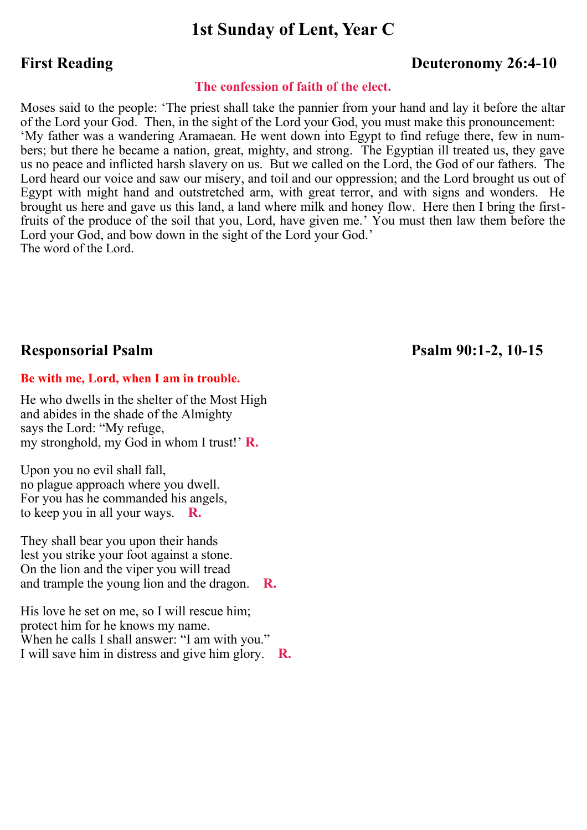# **1st Sunday of Lent, Year C**

# **First Reading Deuteronomy 26:4-10**

#### **The confession of faith of the elect.**

Moses said to the people: 'The priest shall take the pannier from your hand and lay it before the altar of the Lord your God. Then, in the sight of the Lord your God, you must make this pronouncement: 'My father was a wandering Aramaean. He went down into Egypt to find refuge there, few in numbers; but there he became a nation, great, mighty, and strong. The Egyptian ill treated us, they gave us no peace and inflicted harsh slavery on us. But we called on the Lord, the God of our fathers. The Lord heard our voice and saw our misery, and toil and our oppression; and the Lord brought us out of Egypt with might hand and outstretched arm, with great terror, and with signs and wonders. He brought us here and gave us this land, a land where milk and honey flow. Here then I bring the firstfruits of the produce of the soil that you, Lord, have given me.' You must then law them before the Lord your God, and bow down in the sight of the Lord your God.' The word of the Lord.

# **Responsorial Psalm Psalm 90:1-2, 10-15**

#### **Be with me, Lord, when I am in trouble.**

He who dwells in the shelter of the Most High and abides in the shade of the Almighty says the Lord: "My refuge, my stronghold, my God in whom I trust!' **R.**

Upon you no evil shall fall, no plague approach where you dwell. For you has he commanded his angels, to keep you in all your ways. **R.**

They shall bear you upon their hands lest you strike your foot against a stone. On the lion and the viper you will tread and trample the young lion and the dragon. **R.**

His love he set on me, so I will rescue him; protect him for he knows my name. When he calls I shall answer: "I am with you." I will save him in distress and give him glory. **R.**